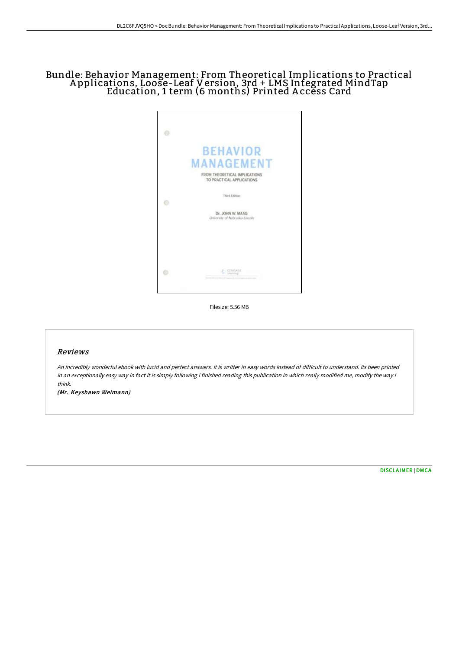# Bundle: Behavior Management: From Theoretical Implications to Practical A pplications, Loose-Leaf Version, 3rd + LMS Integrated MindTap Education, 1 term (6 months) Printed A ccess Card



Filesize: 5.56 MB

## Reviews

An incredibly wonderful ebook with lucid and perfect answers. It is writter in easy words instead of difficult to understand. Its been printed in an exceptionally easy way in fact it is simply following i finished reading this publication in which really modified me, modify the way i think.

(Mr. Keyshawn Weimann)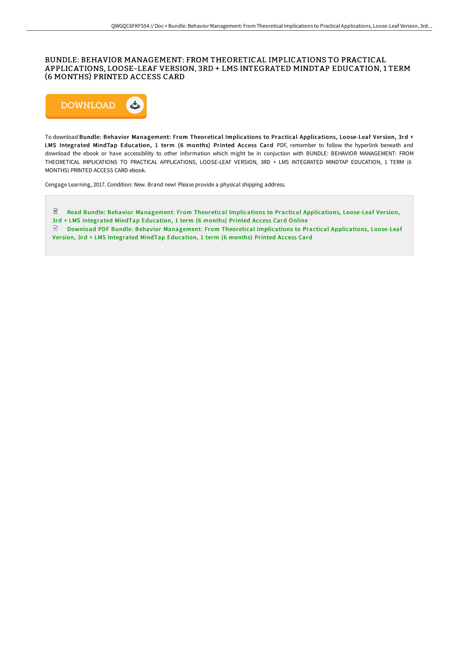## BUNDLE: BEHAVIOR MANAGEMENT: FROM THEORETICAL IMPLICATIONS TO PRACTICAL APPLICATIONS, LOOSE-LEAF VERSION, 3RD + LMS INTEGRATED MINDTAP EDUCATION, 1 TERM (6 MONTHS) PRINTED ACCESS CARD



To download Bundle: Behavior Management: From Theoretical Implications to Practical Applications, Loose-Leaf Version, 3rd + LMS Integrated MindTap Education, 1 term (6 months) Printed Access Card PDF, remember to follow the hyperlink beneath and download the ebook or have accessibility to other information which might be in conjuction with BUNDLE: BEHAVIOR MANAGEMENT: FROM THEORETICAL IMPLICATIONS TO PRACTICAL APPLICATIONS, LOOSE-LEAF VERSION, 3RD + LMS INTEGRATED MINDTAP EDUCATION, 1 TERM (6 MONTHS) PRINTED ACCESS CARD ebook.

Cengage Learning, 2017. Condition: New. Brand new! Please provide a physical shipping address.